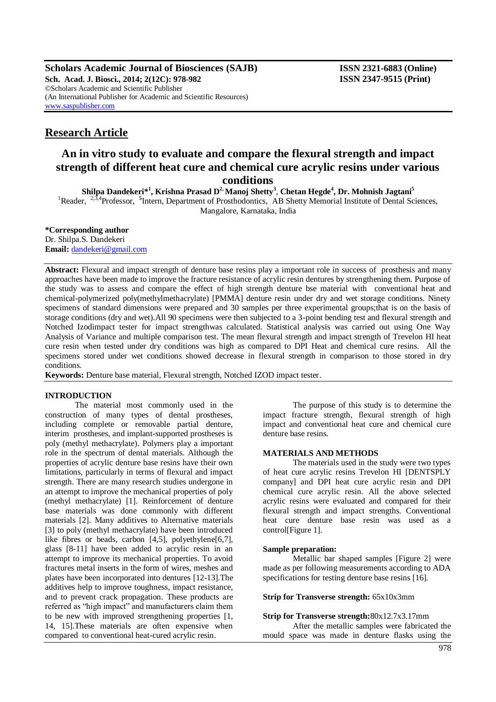**Scholars Academic Journal of Biosciences (SAJB) ISSN 2321-6883 (Online) Sch. Acad. J. Biosci., 2014; 2(12C): 978-982 ISSN 2347-9515 (Print)** ©Scholars Academic and Scientific Publisher (An International Publisher for Academic and Scientific Resources) [www.saspublisher.com](http://www.saspublisher.com/)

# **Research Article**

# **An in vitro study to evaluate and compare the flexural strength and impact strength of different heat cure and chemical cure acrylic resins under various conditions**

**Shilpa Dandekeri\* 1 , Krishna Prasad D 2, Manoj Shetty<sup>3</sup>** , **Chetan Hegde<sup>4</sup> , Dr. Mohnish Jagtani<sup>5</sup>** <sup>1</sup>Reader, <sup>2,3,4</sup>Professor, <sup>5</sup>Intern, Department of Prosthodontics, AB Shetty Memorial Institute of Dental Sciences, Mangalore, Karnataka, India

**\*Corresponding author**

Dr. Shilpa.S. Dandekeri **Email:** [dandekeri@gmail.com](mailto:�dandekeri@gmail.com)

**Abstract:** Flexural and impact strength of denture base resins play a important role in success of prosthesis and many approaches have been made to improve the fracture resistance of acrylic resin dentures by strengthening them. Purpose of the study was to assess and compare the effect of high strength denture bse material with conventional heat and chemical-polymerized poly(methylmethacrylate) [PMMA] denture resin under dry and wet storage conditions. Ninety specimens of standard dimensions were prepared and 30 samples per three experimental groups;that is on the basis of storage conditions (dry and wet).All 90 specimens were then subjected to a 3-point bending test and flexural strength and Notched Izodimpact tester for impact strengthwas calculated. Statistical analysis was carried out using One Way Analysis of Variance and multiple comparison test. The mean flexural strength and impact strength of Trevelon HI heat cure resin when tested under dry conditions was high as compared to DPI Heat and chemical cure resins. All the specimens stored under wet conditions showed decrease in flexural strength in comparison to those stored in dry conditions.

**Keywords:** Denture base material, Flexural strength, Notched IZOD impact tester.

# **INTRODUCTION**

The material most commonly used in the construction of many types of dental prostheses, including complete or removable partial denture, interim prostheses, and implant-supported prostheses is poly (methyl methacrylate). Polymers play a important role in the spectrum of dental materials. Although the properties of acrylic denture base resins have their own limitations, particularly in terms of flexural and impact strength. There are many research studies undergone in an attempt to improve the mechanical properties of poly (methyl methacrylate) [1]. Reinforcement of denture base materials was done commonly with different materials [2]. Many additives to Alternative materials [3] to poly (methyl methacrylate) have been introduced like fibres or beads, carbon [4,5], polyethylene[6,7], glass [8-11] have been added to acrylic resin in an attempt to improve its mechanical properties. To avoid fractures metal inserts in the form of wires, meshes and plates have been incorporated into dentures [12-13].The additives help to improve toughness, impact resistance, and to prevent crack propagation. These products are referred as "high impact" and manufacturers claim them to be new with improved strengthening properties [1, 14, 15].These materials are often expensive when compared to conventional heat-cured acrylic resin.

The purpose of this study is to determine the impact fracture strength, flexural strength of high impact and conventional heat cure and chemical cure denture base resins.

# **MATERIALS AND METHODS**

The materials used in the study were two types of heat cure acrylic resins Trevelon HI [DENTSPLY company] and DPI heat cure acrylic resin and DPI chemical cure acrylic resin. All the above selected acrylic resins were evaluated and compared for their flexural strength and impact strengths. Conventional heat cure denture base resin was used as a control[Figure 1].

# **Sample preparation:**

Metallic bar shaped samples [Figure 2] were made as per following measurements according to ADA specifications for testing denture base resins [16].

**Strip for Transverse strength:** 65x10x3mm

**Strip for Transverse strength:**80x12.7x3.17mm After the metallic samples were fabricated the mould space was made in denture flasks using the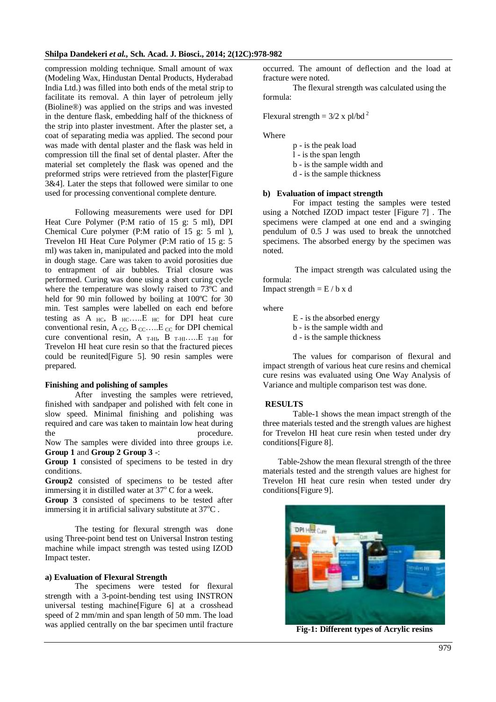compression molding technique. Small amount of wax (Modeling Wax, Hindustan Dental Products, Hyderabad India Ltd.) was filled into both ends of the metal strip to facilitate its removal. A thin layer of petroleum jelly (Bioline®) was applied on the strips and was invested in the denture flask, embedding half of the thickness of the strip into plaster investment. After the plaster set, a coat of separating media was applied. The second pour was made with dental plaster and the flask was held in compression till the final set of dental plaster. After the material set completely the flask was opened and the preformed strips were retrieved from the plaster[Figure 3&4]. Later the steps that followed were similar to one used for processing conventional complete denture.

Following measurements were used for DPI Heat Cure Polymer (P:M ratio of 15 g: 5 ml), DPI Chemical Cure polymer (P:M ratio of 15 g: 5 ml ), Trevelon HI Heat Cure Polymer (P:M ratio of 15 g: 5 ml) was taken in, manipulated and packed into the mold in dough stage. Care was taken to avoid porosities due to entrapment of air bubbles. Trial closure was performed. Curing was done using a short curing cycle where the temperature was slowly raised to 73<sup>o</sup>C and held for 90 min followed by boiling at 100°C for 30 min. Test samples were labelled on each end before testing as A  $_{HC}$ , B  $_{HC}$ ....E  $_{HC}$  for DPI heat cure conventional resin, A  $_{\text{CC}}$ , B  $_{\text{CC}}$ ....E  $_{\text{CC}}$  for DPI chemical cure conventional resin, A  $_{\text{T-HI}}$ , B  $_{\text{T-HI}}$ .....E  $_{\text{T-HI}}$  for Trevelon HI heat cure resin so that the fractured pieces could be reunited[Figure 5]. 90 resin samples were prepared.

#### **Finishing and polishing of samples**

After investing the samples were retrieved, finished with sandpaper and polished with felt cone in slow speed. Minimal finishing and polishing was required and care was taken to maintain low heat during the procedure. Now The samples were divided into three groups i.e.

**Group 1** and **Group 2 Group 3** -:

**Group 1** consisted of specimens to be tested in dry conditions.

**Group2** consisted of specimens to be tested after immersing it in distilled water at  $37^{\circ}$  C for a week.

**Group 3** consisted of specimens to be tested after immersing it in artificial salivary substitute at  $37^{\circ}$ C.

The testing for flexural strength was done using Three-point bend test on Universal Instron testing machine while impact strength was tested using IZOD Impact tester.

#### **a) Evaluation of Flexural Strength**

The specimens were tested for flexural strength with a 3-point-bending test using INSTRON universal testing machine[Figure 6] at a crosshead speed of 2 mm/min and span length of 50 mm. The load was applied centrally on the bar specimen until fracture occurred. The amount of deflection and the load at fracture were noted.

The flexural strength was calculated using the formula:

Flexural strength = 
$$
3/2 \times pl/bd^2
$$

Where

- p is the peak load
- l is the span length
- b is the sample width and
- d is the sample thickness

#### **b) Evaluation of impact strength**

For impact testing the samples were tested using a Notched IZOD impact tester [Figure 7] . The specimens were clamped at one end and a swinging pendulum of 0.5 J was used to break the unnotched specimens. The absorbed energy by the specimen was noted.

The impact strength was calculated using the formula: Impact strength  $=$  E / b x d

where

E - is the absorbed energy

b - is the sample width and

d - is the sample thickness

The values for comparison of flexural and impact strength of various heat cure resins and chemical cure resins was evaluated using One Way Analysis of Variance and multiple comparison test was done.

#### **RESULTS**

Table-1 shows the mean impact strength of the three materials tested and the strength values are highest for Trevelon HI heat cure resin when tested under dry conditions[Figure 8].

Table-2show the mean flexural strength of the three materials tested and the strength values are highest for Trevelon HI heat cure resin when tested under dry conditions[Figure 9].



**Fig-1: Different types of Acrylic resins**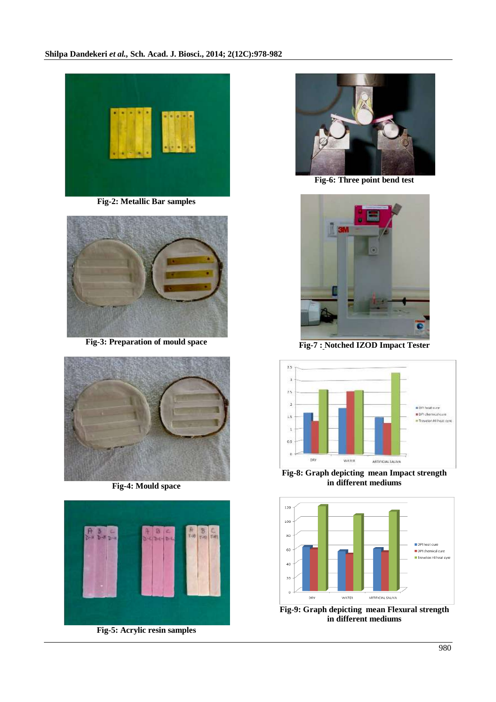

**Fig-2: Metallic Bar samples**



**Fig-3: Preparation of mould space**



**Fig-4: Mould space**



**Fig-5: Acrylic resin samples**



**Fig-6: Three point bend test**

![](_page_2_Picture_11.jpeg)

**Fig-7 : Notched IZOD Impact Tester**

![](_page_2_Figure_13.jpeg)

**Fig-8: Graph depicting mean Impact strength in different mediums**

![](_page_2_Figure_15.jpeg)

**Fig-9: Graph depicting mean Flexural strength in different mediums**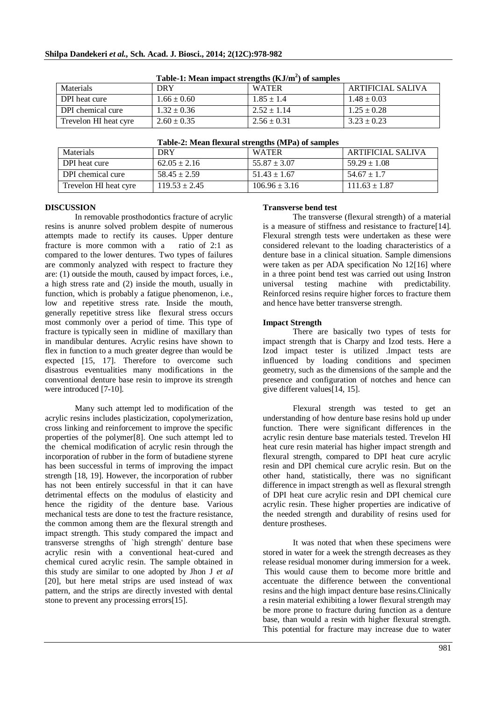| Table-1: Mean impact strengths (KJ/m ) or samples |                 |                 |                   |  |
|---------------------------------------------------|-----------------|-----------------|-------------------|--|
| Materials                                         | DRY             | <b>WATER</b>    | ARTIFICIAL SALIVA |  |
| DPI heat cure                                     | $1.66 \pm 0.60$ | $1.85 \pm 1.4$  | $1.48 \pm 0.03$   |  |
| DPI chemical cure                                 | $1.32 \pm 0.36$ | $2.52 \pm 1.14$ | $1.25 \pm 0.28$   |  |
| Trevelon HI heat cyre                             | $2.60 \pm 0.35$ | $2.56 \pm 0.31$ | $3.23 \pm 0.23$   |  |

| Table-2: Mean flexural strengths (MPa) of samples |                   |                   |                   |  |  |
|---------------------------------------------------|-------------------|-------------------|-------------------|--|--|
| Materials                                         | <b>DRY</b>        | <b>WATER</b>      | ARTIFICIAL SALIVA |  |  |
| DPI heat cure                                     | $62.05 \pm 2.16$  | $55.87 \pm 3.07$  | $59.29 \pm 1.08$  |  |  |
| DPI chemical cure                                 | $58.45 \pm 2.59$  | $51.43 \pm 1.67$  | $54.67 \pm 1.7$   |  |  |
| Trevelon HI heat cyre                             | $119.53 \pm 2.45$ | $106.96 \pm 3.16$ | $111.63 \pm 1.87$ |  |  |

### **Table-2: Mean flexural strengths (MPa) of samples**

#### **DISCUSSION**

In removable prosthodontics fracture of acrylic resins is anunre solved problem despite of numerous attempts made to rectify its causes. Upper denture fracture is more common with a ratio of 2:1 as compared to the lower dentures. Two types of failures are commonly analyzed with respect to fracture they are: (1) outside the mouth, caused by impact forces, i.e., a high stress rate and (2) inside the mouth, usually in function, which is probably a fatigue phenomenon, i.e., low and repetitive stress rate. Inside the mouth, generally repetitive stress like flexural stress occurs most commonly over a period of time. This type of fracture is typically seen in midline of maxillary than in mandibular dentures. Acrylic resins have shown to flex in function to a much greater degree than would be expected [15, 17]. Therefore to overcome such disastrous eventualities many modifications in the conventional denture base resin to improve its strength were introduced [7-10].

Many such attempt led to modification of the acrylic resins includes plasticization, copolymerization, cross linking and reinforcement to improve the specific properties of the polymer[8]. One such attempt led to the chemical modification of acrylic resin through the incorporation of rubber in the form of butadiene styrene has been successful in terms of improving the impact strength [18, 19]. However, the incorporation of rubber has not been entirely successful in that it can have detrimental effects on the modulus of elasticity and hence the rigidity of the denture base. Various mechanical tests are done to test the fracture resistance, the common among them are the flexural strength and impact strength. This study compared the impact and transverse strengths of `high strength' denture base acrylic resin with a conventional heat-cured and chemical cured acrylic resin. The sample obtained in this study are similar to one adopted by Jhon J *et aI*  [20], but here metal strips are used instead of wax pattern, and the strips are directly invested with dental stone to prevent any processing errors[15].

### **Transverse bend test**

The transverse (flexural strength) of a material is a measure of stiffness and resistance to fracture[14]. Flexural strength tests were undertaken as these were considered relevant to the loading characteristics of a denture base in a clinical situation. Sample dimensions were taken as per ADA specification No 12[16] where in a three point bend test was carried out using Instron universal testing machine with predictability. Reinforced resins require higher forces to fracture them and hence have better transverse strength.

# **Impact Strength**

There are basically two types of tests for impact strength that is Charpy and Izod tests. Here a Izod impact tester is utilized .Impact tests are influenced by loading conditions and specimen geometry, such as the dimensions of the sample and the presence and configuration of notches and hence can give different values[14, 15].

Flexural strength was tested to get an understanding of how denture base resins hold up under function. There were significant differences in the acrylic resin denture base materials tested. Trevelon HI heat cure resin material has higher impact strength and flexural strength, compared to DPI heat cure acrylic resin and DPI chemical cure acrylic resin. But on the other hand, statistically, there was no significant difference in impact strength as well as flexural strength of DPI heat cure acrylic resin and DPI chemical cure acrylic resin. These higher properties are indicative of the needed strength and durability of resins used for denture prostheses.

It was noted that when these specimens were stored in water for a week the strength decreases as they release residual monomer during immersion for a week. This would cause them to become more brittle and accentuate the difference between the conventional resins and the high impact denture base resins.Clinically a resin material exhibiting a lower flexural strength may be more prone to fracture during function as a denture base, than would a resin with higher flexural strength. This potential for fracture may increase due to water